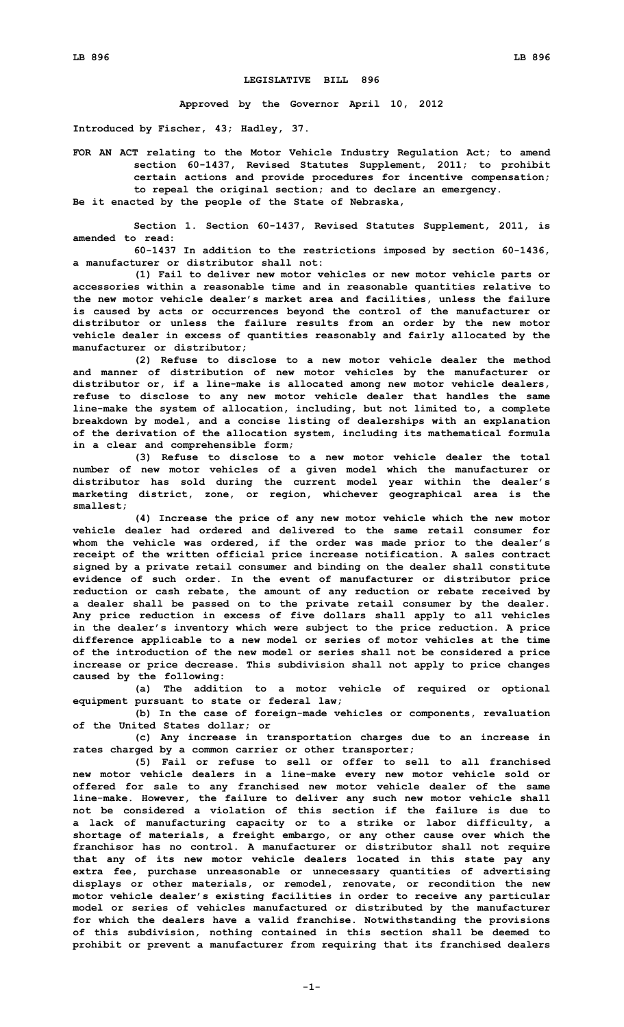## **LEGISLATIVE BILL 896**

**Approved by the Governor April 10, 2012**

**Introduced by Fischer, 43; Hadley, 37.**

**FOR AN ACT relating to the Motor Vehicle Industry Regulation Act; to amend section 60-1437, Revised Statutes Supplement, 2011; to prohibit certain actions and provide procedures for incentive compensation; to repeal the original section; and to declare an emergency. Be it enacted by the people of the State of Nebraska,**

**Section 1. Section 60-1437, Revised Statutes Supplement, 2011, is amended to read:**

**60-1437 In addition to the restrictions imposed by section 60-1436, a manufacturer or distributor shall not:**

**(1) Fail to deliver new motor vehicles or new motor vehicle parts or accessories within <sup>a</sup> reasonable time and in reasonable quantities relative to the new motor vehicle dealer's market area and facilities, unless the failure is caused by acts or occurrences beyond the control of the manufacturer or distributor or unless the failure results from an order by the new motor vehicle dealer in excess of quantities reasonably and fairly allocated by the manufacturer or distributor;**

**(2) Refuse to disclose to <sup>a</sup> new motor vehicle dealer the method and manner of distribution of new motor vehicles by the manufacturer or distributor or, if <sup>a</sup> line-make is allocated among new motor vehicle dealers, refuse to disclose to any new motor vehicle dealer that handles the same line-make the system of allocation, including, but not limited to, <sup>a</sup> complete breakdown by model, and <sup>a</sup> concise listing of dealerships with an explanation of the derivation of the allocation system, including its mathematical formula in <sup>a</sup> clear and comprehensible form;**

**(3) Refuse to disclose to <sup>a</sup> new motor vehicle dealer the total number of new motor vehicles of <sup>a</sup> given model which the manufacturer or distributor has sold during the current model year within the dealer's marketing district, zone, or region, whichever geographical area is the smallest;**

**(4) Increase the price of any new motor vehicle which the new motor vehicle dealer had ordered and delivered to the same retail consumer for whom the vehicle was ordered, if the order was made prior to the dealer's receipt of the written official price increase notification. A sales contract signed by <sup>a</sup> private retail consumer and binding on the dealer shall constitute evidence of such order. In the event of manufacturer or distributor price reduction or cash rebate, the amount of any reduction or rebate received by <sup>a</sup> dealer shall be passed on to the private retail consumer by the dealer. Any price reduction in excess of five dollars shall apply to all vehicles in the dealer's inventory which were subject to the price reduction. A price difference applicable to <sup>a</sup> new model or series of motor vehicles at the time of the introduction of the new model or series shall not be considered <sup>a</sup> price increase or price decrease. This subdivision shall not apply to price changes caused by the following:**

**(a) The addition to <sup>a</sup> motor vehicle of required or optional equipment pursuant to state or federal law;**

**(b) In the case of foreign-made vehicles or components, revaluation of the United States dollar; or**

**(c) Any increase in transportation charges due to an increase in rates charged by <sup>a</sup> common carrier or other transporter;**

**(5) Fail or refuse to sell or offer to sell to all franchised new motor vehicle dealers in <sup>a</sup> line-make every new motor vehicle sold or offered for sale to any franchised new motor vehicle dealer of the same line-make. However, the failure to deliver any such new motor vehicle shall not be considered a violation of this section if the failure is due to <sup>a</sup> lack of manufacturing capacity or to <sup>a</sup> strike or labor difficulty, <sup>a</sup> shortage of materials, <sup>a</sup> freight embargo, or any other cause over which the franchisor has no control. A manufacturer or distributor shall not require that any of its new motor vehicle dealers located in this state pay any extra fee, purchase unreasonable or unnecessary quantities of advertising displays or other materials, or remodel, renovate, or recondition the new motor vehicle dealer's existing facilities in order to receive any particular model or series of vehicles manufactured or distributed by the manufacturer for which the dealers have <sup>a</sup> valid franchise. Notwithstanding the provisions of this subdivision, nothing contained in this section shall be deemed to prohibit or prevent <sup>a</sup> manufacturer from requiring that its franchised dealers**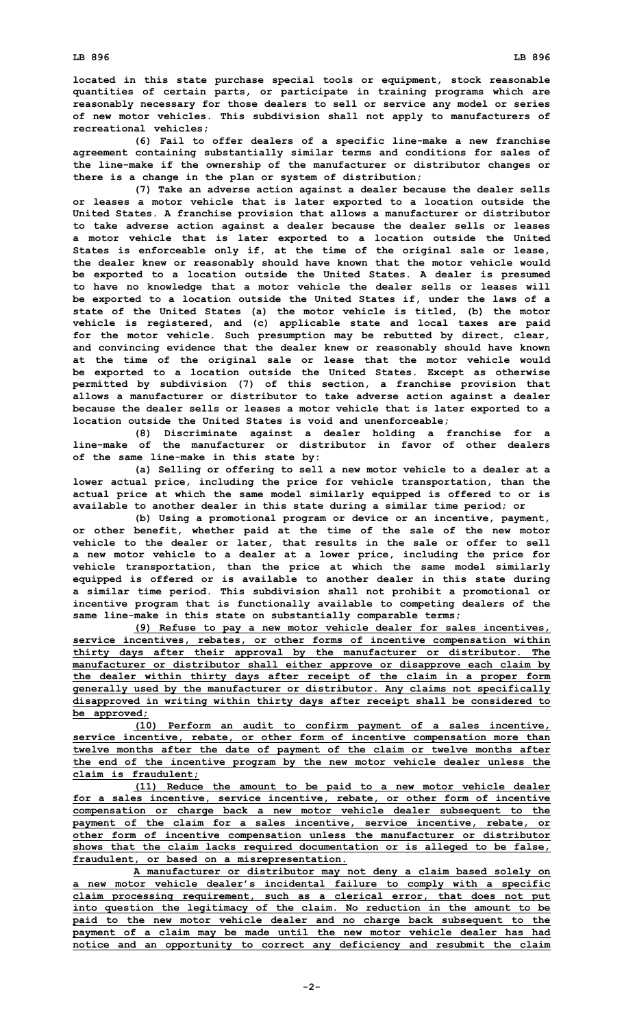**located in this state purchase special tools or equipment, stock reasonable quantities of certain parts, or participate in training programs which are reasonably necessary for those dealers to sell or service any model or series of new motor vehicles. This subdivision shall not apply to manufacturers of recreational vehicles;**

**(6) Fail to offer dealers of <sup>a</sup> specific line-make <sup>a</sup> new franchise agreement containing substantially similar terms and conditions for sales of the line-make if the ownership of the manufacturer or distributor changes or there is <sup>a</sup> change in the plan or system of distribution;**

**(7) Take an adverse action against <sup>a</sup> dealer because the dealer sells or leases <sup>a</sup> motor vehicle that is later exported to <sup>a</sup> location outside the United States. A franchise provision that allows <sup>a</sup> manufacturer or distributor to take adverse action against <sup>a</sup> dealer because the dealer sells or leases <sup>a</sup> motor vehicle that is later exported to <sup>a</sup> location outside the United States is enforceable only if, at the time of the original sale or lease, the dealer knew or reasonably should have known that the motor vehicle would be exported to <sup>a</sup> location outside the United States. A dealer is presumed to have no knowledge that <sup>a</sup> motor vehicle the dealer sells or leases will be exported to <sup>a</sup> location outside the United States if, under the laws of <sup>a</sup> state of the United States (a) the motor vehicle is titled, (b) the motor vehicle is registered, and (c) applicable state and local taxes are paid for the motor vehicle. Such presumption may be rebutted by direct, clear, and convincing evidence that the dealer knew or reasonably should have known at the time of the original sale or lease that the motor vehicle would be exported to <sup>a</sup> location outside the United States. Except as otherwise permitted by subdivision (7) of this section, <sup>a</sup> franchise provision that allows <sup>a</sup> manufacturer or distributor to take adverse action against <sup>a</sup> dealer because the dealer sells or leases <sup>a</sup> motor vehicle that is later exported to <sup>a</sup> location outside the United States is void and unenforceable;**

**(8) Discriminate against <sup>a</sup> dealer holding <sup>a</sup> franchise for <sup>a</sup> line-make of the manufacturer or distributor in favor of other dealers of the same line-make in this state by:**

**(a) Selling or offering to sell <sup>a</sup> new motor vehicle to <sup>a</sup> dealer at <sup>a</sup> lower actual price, including the price for vehicle transportation, than the actual price at which the same model similarly equipped is offered to or is available to another dealer in this state during <sup>a</sup> similar time period; or**

**(b) Using <sup>a</sup> promotional program or device or an incentive, payment, or other benefit, whether paid at the time of the sale of the new motor vehicle to the dealer or later, that results in the sale or offer to sell <sup>a</sup> new motor vehicle to <sup>a</sup> dealer at <sup>a</sup> lower price, including the price for vehicle transportation, than the price at which the same model similarly equipped is offered or is available to another dealer in this state during <sup>a</sup> similar time period. This subdivision shall not prohibit <sup>a</sup> promotional or incentive program that is functionally available to competing dealers of the same line-make in this state on substantially comparable terms;**

**(9) Refuse to pay <sup>a</sup> new motor vehicle dealer for sales incentives, service incentives, rebates, or other forms of incentive compensation within thirty days after their approval by the manufacturer or distributor. The manufacturer or distributor shall either approve or disapprove each claim by the dealer within thirty days after receipt of the claim in <sup>a</sup> proper form generally used by the manufacturer or distributor. Any claims not specifically disapproved in writing within thirty days after receipt shall be considered to be approved;**

**(10) Perform an audit to confirm payment of <sup>a</sup> sales incentive, service incentive, rebate, or other form of incentive compensation more than twelve months after the date of payment of the claim or twelve months after the end of the incentive program by the new motor vehicle dealer unless the claim is fraudulent;**

**(11) Reduce the amount to be paid to <sup>a</sup> new motor vehicle dealer for <sup>a</sup> sales incentive, service incentive, rebate, or other form of incentive compensation or charge back <sup>a</sup> new motor vehicle dealer subsequent to the payment of the claim for <sup>a</sup> sales incentive, service incentive, rebate, or other form of incentive compensation unless the manufacturer or distributor shows that the claim lacks required documentation or is alleged to be false, fraudulent, or based on <sup>a</sup> misrepresentation.**

**A manufacturer or distributor may not deny <sup>a</sup> claim based solely on <sup>a</sup> new motor vehicle dealer's incidental failure to comply with <sup>a</sup> specific claim processing requirement, such as <sup>a</sup> clerical error, that does not put into question the legitimacy of the claim. No reduction in the amount to be paid to the new motor vehicle dealer and no charge back subsequent to the payment of <sup>a</sup> claim may be made until the new motor vehicle dealer has had notice and an opportunity to correct any deficiency and resubmit the claim**